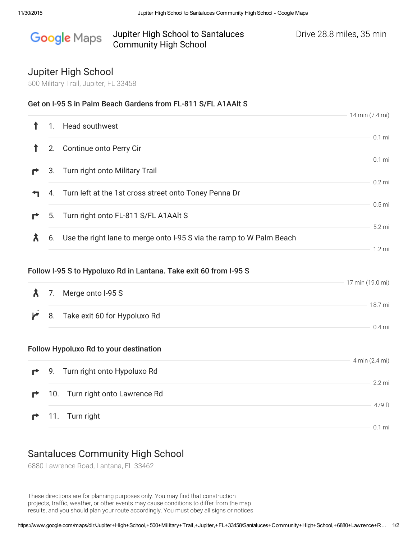#### Jupiter High School to Santaluces Drive 28.8 miles, 35 min Google Maps Community High School

18.7 mi

0.4 mi

## Jupiter High School

500 Military Trail, Jupiter, FL 33458

## Get on I-95 S in Palm Beach Gardens from FL-811 S/FL A1AAlt S

|   |    |                                                                         | 14 min (7.4 mi)   |
|---|----|-------------------------------------------------------------------------|-------------------|
|   |    | <b>Head southwest</b>                                                   |                   |
|   | 2. | Continue onto Perry Cir                                                 | $0.1$ mi          |
|   |    | 3. Turn right onto Military Trail                                       | $0.1$ mi          |
|   |    | 4. Turn left at the 1st cross street onto Toney Penna Dr                | $0.2$ mi          |
| ₹ |    | 5. Turn right onto FL-811 S/FL A1AAlt S                                 | 0.5 <sub>mi</sub> |
| Х |    | 6. Use the right lane to merge onto I-95 S via the ramp to W Palm Beach | 5.2 mi            |
|   |    | Follow I-95 S to Hypoluxo Rd in Lantana. Take exit 60 from I-95 S       | $1.2 \text{ mi}$  |
|   | 7. | Merge onto I-95 S                                                       | 17 min (19.0 mi)  |

И 8. Take exit 60 for Hypoluxo Rd

### Follow Hypoluxo Rd to your destination

|              |                                         | 4 min (2.4 mi) |
|--------------|-----------------------------------------|----------------|
|              | <b>P</b> 9. Turn right onto Hypoluxo Rd |                |
|              |                                         | 22 mi          |
| $\mathbf{r}$ | 10. Turn right onto Lawrence Rd         |                |
|              |                                         | 479 ft         |
|              | <b>11.</b> Turn right                   |                |
|              |                                         | $0.1$ mi       |

# Santaluces Community High School

6880 Lawrence Road, Lantana, FL 33462

These directions are for planning purposes only. You may find that construction projects, traffic, weather, or other events may cause conditions to differ from the map results, and you should plan your route accordingly. You must obey all signs or notices